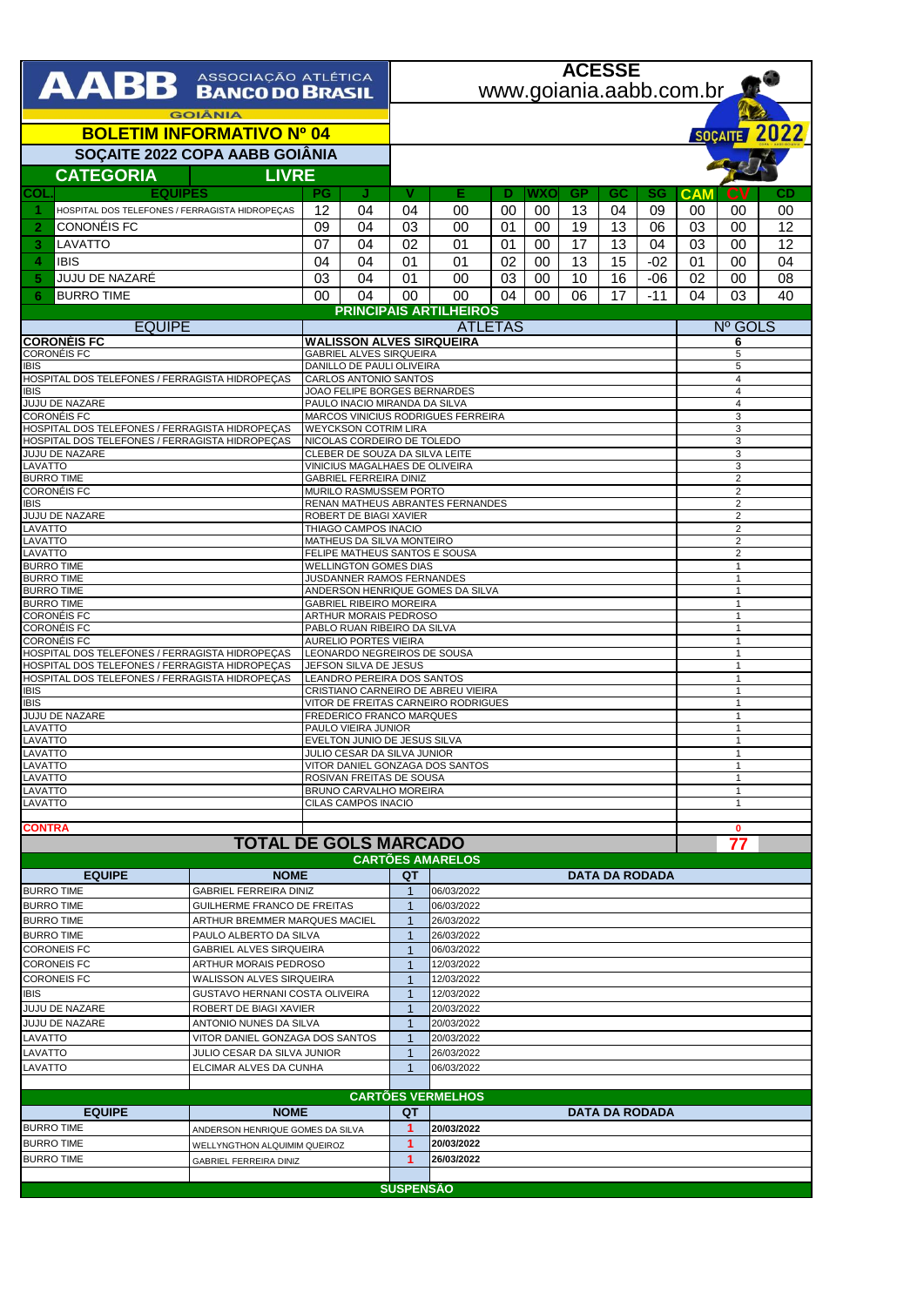| AABB ASSOCIAÇÃO ATLÉTICA                                                                         |                                                                  |                                                   |                                                                                                    |                                  | <b>ACESSE</b>                  |          |          |           |          |                       |            |             |              |  |  |
|--------------------------------------------------------------------------------------------------|------------------------------------------------------------------|---------------------------------------------------|----------------------------------------------------------------------------------------------------|----------------------------------|--------------------------------|----------|----------|-----------|----------|-----------------------|------------|-------------|--------------|--|--|
|                                                                                                  |                                                                  |                                                   |                                                                                                    |                                  | www.goiania.aabb.com.br        |          |          |           |          |                       |            |             |              |  |  |
| <b>GOIÂNIA</b><br><b>BOLETIM INFORMATIVO Nº 04</b>                                               |                                                                  |                                                   |                                                                                                    |                                  |                                |          |          |           |          |                       |            |             | SOÇAITE 2022 |  |  |
| SOÇAITE 2022 COPA AABB GOIÂNIA                                                                   |                                                                  |                                                   |                                                                                                    |                                  |                                |          |          |           |          |                       |            |             |              |  |  |
| <b>CATEGORIA</b><br><b>LIVRE</b>                                                                 |                                                                  |                                                   |                                                                                                    |                                  |                                |          |          |           |          |                       |            |             |              |  |  |
| <b>EQUIPES</b><br>COL                                                                            |                                                                  | PG                                                | J                                                                                                  | v                                | Е                              | Ð        | WXO      | <b>GP</b> | GC       | SG                    | <b>CAM</b> | CV          | CD           |  |  |
| HOSPITAL DOS TELEFONES / FERRAGISTA HIDROPEÇAS                                                   |                                                                  | 12                                                | 04                                                                                                 | 04                               | 00                             | 00       | 00       | 13        | 04       | 09                    | 00         | 00          | 00           |  |  |
| CONONÉIS FC<br>2                                                                                 |                                                                  | 09                                                | 04                                                                                                 | 03                               | 00                             | 01       | 00       | 19        | 13       | 06                    | 03         | 00          | 12           |  |  |
| LAVATTO<br>3                                                                                     |                                                                  | 07                                                | 04                                                                                                 | 02                               | 01                             | 01       | 00       | 17        | 13       | 04                    | 03         | 00          | 12           |  |  |
| <b>IBIS</b><br>4<br>JUJU DE NAZARÉ<br>5                                                          |                                                                  | 04<br>03                                          | 04<br>04                                                                                           | 01<br>01                         | 01<br>00                       | 02<br>03 | 00<br>00 | 13<br>10  | 15<br>16 | $-02$<br>$-06$        | 01<br>02   | 00<br>00    | 04<br>08     |  |  |
| <b>BURRO TIME</b><br>6                                                                           |                                                                  | $00\,$                                            | 04                                                                                                 | 00                               | 00                             | 04       | 00       | 06        | 17       | $-11$                 | 04         | 03          | 40           |  |  |
|                                                                                                  |                                                                  |                                                   |                                                                                                    |                                  | <b>PRINCIPAIS ARTILHEIROS</b>  |          |          |           |          |                       |            |             |              |  |  |
| <b>EQUIPE</b>                                                                                    |                                                                  | <b>ATLETAS</b><br><b>WALISSON ALVES SIRQUEIRA</b> |                                                                                                    |                                  |                                |          |          |           |          |                       |            | Nº GOLS     |              |  |  |
| <b>CORONEIS FC</b><br><b>CORONÉIS FC</b>                                                         |                                                                  |                                                   |                                                                                                    | 6<br>5                           |                                |          |          |           |          |                       |            |             |              |  |  |
| <b>IBIS</b>                                                                                      |                                                                  |                                                   | <b>GABRIEL ALVES SIRQUEIRA</b><br>DANILLO DE PAULI OLIVEIRA                                        |                                  |                                |          |          |           |          |                       |            |             | 5            |  |  |
| HOSPITAL DOS TELEFONES / FERRAGISTA HIDROPEÇAS<br><b>IBIS</b>                                    |                                                                  |                                                   | CARLOS ANTONIO SANTOS<br>JOAO FELIPE BORGES BERNARDES                                              | 4<br>4                           |                                |          |          |           |          |                       |            |             |              |  |  |
| JUJU DE NAZARE                                                                                   |                                                                  |                                                   | PAULO INACIO MIRANDA DA SILVA                                                                      | $\overline{4}$                   |                                |          |          |           |          |                       |            |             |              |  |  |
| <b>CORONÉIS FC</b><br>HOSPITAL DOS TELEFONES / FERRAGISTA HIDROPECAS                             |                                                                  |                                                   | MARCOS VINICIUS RODRIGUES FERREIRA<br><b>WEYCKSON COTRIM LIRA</b>                                  | 3<br>3                           |                                |          |          |           |          |                       |            |             |              |  |  |
| HOSPITAL DOS TELEFONES / FERRAGISTA HIDROPEÇAS                                                   |                                                                  |                                                   | NICOLAS CORDEIRO DE TOLEDO                                                                         | 3                                |                                |          |          |           |          |                       |            |             |              |  |  |
| JUJU DE NAZARE<br>LAVATTO                                                                        |                                                                  |                                                   | CLEBER DE SOUZA DA SILVA LEITE<br>VINICIUS MAGALHAES DE OLIVEIRA                                   | 3<br>3                           |                                |          |          |           |          |                       |            |             |              |  |  |
| <b>BURRO TIME</b><br><b>CORONÉIS FC</b>                                                          |                                                                  |                                                   | <b>GABRIEL FERREIRA DINIZ</b><br>MURILO RASMUSSEM PORTO                                            | $\overline{2}$<br>2              |                                |          |          |           |          |                       |            |             |              |  |  |
| <b>IBIS</b>                                                                                      |                                                                  |                                                   | RENAN MATHEUS ABRANTES FERNANDES                                                                   | $\sqrt{2}$                       |                                |          |          |           |          |                       |            |             |              |  |  |
| JUJU DE NAZARE<br>LAVATTO                                                                        |                                                                  |                                                   | ROBERT DE BIAGI XAVIER<br>THIAGO CAMPOS INACIO                                                     | $\overline{2}$<br>$\overline{2}$ |                                |          |          |           |          |                       |            |             |              |  |  |
| LAVATTO                                                                                          |                                                                  |                                                   | MATHEUS DA SILVA MONTEIRO                                                                          | 2                                |                                |          |          |           |          |                       |            |             |              |  |  |
| LAVATTO<br><b>BURRO TIME</b>                                                                     |                                                                  |                                                   | FELIPE MATHEUS SANTOS E SOUSA                                                                      |                                  | $\overline{2}$<br>$\mathbf{1}$ |          |          |           |          |                       |            |             |              |  |  |
| <b>BURRO TIME</b>                                                                                |                                                                  |                                                   | <b>WELLINGTON GOMES DIAS</b><br>JUSDANNER RAMOS FERNANDES<br>$\mathbf{1}$                          |                                  |                                |          |          |           |          |                       |            |             |              |  |  |
| <b>BURRO TIME</b><br><b>BURRO TIME</b>                                                           |                                                                  |                                                   | ANDERSON HENRIQUE GOMES DA SILVA<br>$\mathbf{1}$<br><b>GABRIEL RIBEIRO MOREIRA</b><br>$\mathbf{1}$ |                                  |                                |          |          |           |          |                       |            |             |              |  |  |
| <b>CORONÉIS FC</b>                                                                               |                                                                  |                                                   | ARTHUR MORAIS PEDROSO<br>-1<br>PABLO RUAN RIBEIRO DA SILVA                                         |                                  |                                |          |          |           |          |                       |            |             |              |  |  |
| <b>CORONÉIS FC</b><br><b>CORONÉIS FC</b>                                                         |                                                                  |                                                   | <b>AURELIO PORTES VIEIRA</b>                                                                       |                                  | $\overline{1}$<br>$\mathbf{1}$ |          |          |           |          |                       |            |             |              |  |  |
| HOSPITAL DOS TELEFONES / FERRAGISTA HIDROPEÇAS                                                   |                                                                  |                                                   | LEONARDO NEGREIROS DE SOUSA                                                                        | $\mathbf{1}$                     |                                |          |          |           |          |                       |            |             |              |  |  |
| HOSPITAL DOS TELEFONES / FERRAGISTA HIDROPEÇAS<br>HOSPITAL DOS TELEFONES / FERRAGISTA HIDROPEÇAS |                                                                  |                                                   | JEFSON SILVA DE JESUS<br>LEANDRO PEREIRA DOS SANTOS                                                | $\overline{1}$<br>$\mathbf{1}$   |                                |          |          |           |          |                       |            |             |              |  |  |
| <b>IBIS</b>                                                                                      |                                                                  |                                                   | CRISTIANO CARNEIRO DE ABREU VIEIRA                                                                 | $\mathbf{1}$                     |                                |          |          |           |          |                       |            |             |              |  |  |
| <b>IBIS</b><br>JUJU DE NAZARE                                                                    |                                                                  |                                                   | VITOR DE FREITAS CARNEIRO RODRIGUES<br>FREDERICO FRANCO MARQUES                                    | $\overline{1}$<br>$\mathbf{1}$   |                                |          |          |           |          |                       |            |             |              |  |  |
| LAVATTO<br>LAVATTO                                                                               |                                                                  |                                                   | PAULO VIEIRA JUNIOR<br>EVELTON JUNIO DE JESUS SILVA                                                | -1<br>$\overline{1}$             |                                |          |          |           |          |                       |            |             |              |  |  |
| LAVATTO                                                                                          |                                                                  |                                                   | JULIO CESAR DA SILVA JUNIOR                                                                        |                                  |                                |          |          |           |          |                       |            |             |              |  |  |
| LAVATTO<br>LAVATTO                                                                               |                                                                  |                                                   | VITOR DANIEL GONZAGA DOS SANTOS<br>ROSIVAN FREITAS DE SOUSA                                        | -1                               |                                |          |          |           |          |                       |            |             |              |  |  |
| LAVATTO                                                                                          |                                                                  |                                                   | BRUNO CARVALHO MOREIRA                                                                             | $\mathbf{1}$                     |                                |          |          |           |          |                       |            |             |              |  |  |
| LAVATTO                                                                                          |                                                                  |                                                   | CILAS CAMPOS INACIO                                                                                |                                  |                                |          |          |           |          |                       |            | -1          |              |  |  |
| <b>CONTRA</b>                                                                                    |                                                                  |                                                   |                                                                                                    |                                  |                                |          |          |           |          |                       |            | $\mathbf 0$ |              |  |  |
|                                                                                                  | <b>TOTAL DE GOLS MARCADO</b>                                     |                                                   |                                                                                                    |                                  |                                |          |          |           |          |                       |            | 77          |              |  |  |
| <b>EQUIPE</b>                                                                                    | <b>NOME</b>                                                      |                                                   |                                                                                                    | QT                               | <b>CARTÕES AMARELOS</b>        |          |          |           |          | <b>DATA DA RODADA</b> |            |             |              |  |  |
| <b>BURRO TIME</b>                                                                                | <b>GABRIEL FERREIRA DINIZ</b>                                    |                                                   |                                                                                                    | $\mathbf{1}$                     | 06/03/2022                     |          |          |           |          |                       |            |             |              |  |  |
| <b>BURRO TIME</b>                                                                                | <b>GUILHERME FRANCO DE FREITAS</b>                               |                                                   |                                                                                                    | $\mathbf 1$<br>$\mathbf 1$       | 06/03/2022                     |          |          |           |          |                       |            |             |              |  |  |
| <b>BURRO TIME</b><br><b>BURRO TIME</b>                                                           |                                                                  | ARTHUR BREMMER MARQUES MACIEL                     |                                                                                                    |                                  | 26/03/2022<br>26/03/2022       |          |          |           |          |                       |            |             |              |  |  |
| <b>CORONEIS FC</b>                                                                               | PAULO ALBERTO DA SILVA<br><b>GABRIEL ALVES SIRQUEIRA</b>         |                                                   |                                                                                                    | $\mathbf{1}$<br>$\mathbf{1}$     | 06/03/2022                     |          |          |           |          |                       |            |             |              |  |  |
| <b>CORONEIS FC</b>                                                                               | ARTHUR MORAIS PEDROSO                                            |                                                   |                                                                                                    | $\mathbf{1}$                     | 12/03/2022                     |          |          |           |          |                       |            |             |              |  |  |
| <b>CORONEIS FC</b>                                                                               | WALISSON ALVES SIRQUEIRA                                         |                                                   |                                                                                                    | $\mathbf 1$                      | 12/03/2022                     |          |          |           |          |                       |            |             |              |  |  |
| <b>IBIS</b><br>JUJU DE NAZARE                                                                    | GUSTAVO HERNANI COSTA OLIVEIRA<br>ROBERT DE BIAGI XAVIER         |                                                   |                                                                                                    | $\mathbf{1}$<br>$\mathbf 1$      | 12/03/2022<br>20/03/2022       |          |          |           |          |                       |            |             |              |  |  |
| JUJU DE NAZARE                                                                                   | ANTONIO NUNES DA SILVA                                           |                                                   |                                                                                                    | $\mathbf{1}$                     | 20/03/2022                     |          |          |           |          |                       |            |             |              |  |  |
| LAVATTO                                                                                          | VITOR DANIEL GONZAGA DOS SANTOS                                  |                                                   |                                                                                                    | $\mathbf{1}$<br>$\mathbf{1}$     | 20/03/2022                     |          |          |           |          |                       |            |             |              |  |  |
| LAVATTO<br>LAVATTO                                                                               | JULIO CESAR DA SILVA JUNIOR<br>ELCIMAR ALVES DA CUNHA            |                                                   |                                                                                                    |                                  | 26/03/2022<br>06/03/2022       |          |          |           |          |                       |            |             |              |  |  |
|                                                                                                  |                                                                  |                                                   |                                                                                                    |                                  | $\mathbf{1}$                   |          |          |           |          |                       |            |             |              |  |  |
|                                                                                                  |                                                                  |                                                   |                                                                                                    |                                  | <b>CARTÕES VERMELHOS</b>       |          |          |           |          |                       |            |             |              |  |  |
| <b>EQUIPE</b>                                                                                    | <b>NOME</b>                                                      |                                                   |                                                                                                    | QT<br>1                          | <b>DATA DA RODADA</b>          |          |          |           |          |                       |            |             |              |  |  |
| <b>BURRO TIME</b><br><b>BURRO TIME</b>                                                           | ANDERSON HENRIQUE GOMES DA SILVA<br>WELLYNGTHON ALQUIMIM QUEIROZ |                                                   |                                                                                                    |                                  | 20/03/2022<br>20/03/2022       |          |          |           |          |                       |            |             |              |  |  |
| <b>BURRO TIME</b>                                                                                | GABRIEL FERREIRA DINIZ                                           |                                                   |                                                                                                    |                                  | 26/03/2022                     |          |          |           |          |                       |            |             |              |  |  |
|                                                                                                  |                                                                  |                                                   |                                                                                                    |                                  |                                |          |          |           |          |                       |            |             |              |  |  |
|                                                                                                  |                                                                  |                                                   |                                                                                                    | <b>SUSPENSÃO</b>                 |                                |          |          |           |          |                       |            |             |              |  |  |